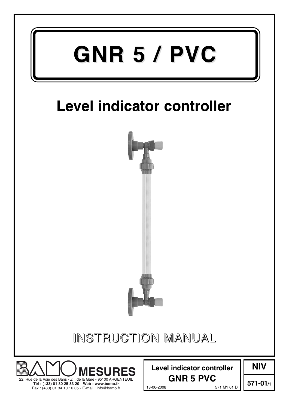